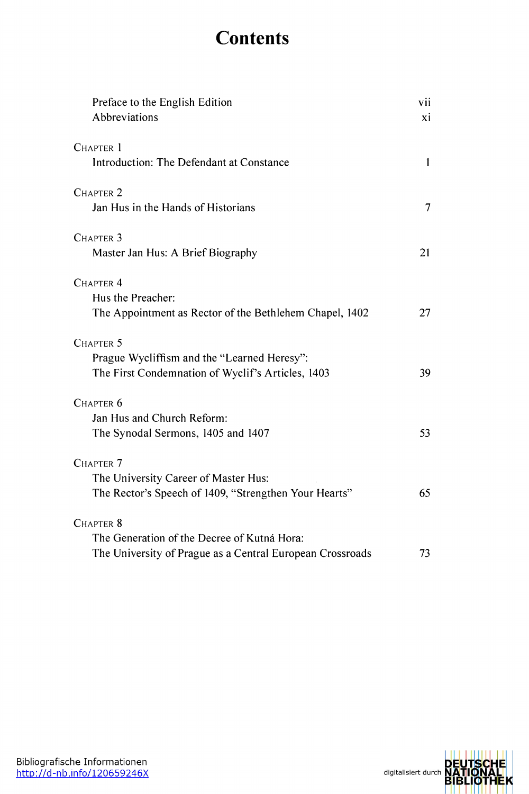## **Contents**

| Preface to the English Edition<br>Abbreviations                                                                          | vii<br>xi |
|--------------------------------------------------------------------------------------------------------------------------|-----------|
| CHAPTER 1<br>Introduction: The Defendant at Constance                                                                    | 1         |
| CHAPTER <sub>2</sub><br>Jan Hus in the Hands of Historians                                                               | 7         |
| CHAPTER <sub>3</sub><br>Master Jan Hus: A Brief Biography                                                                | 21        |
| CHAPTER <sub>4</sub><br>Hus the Preacher:<br>The Appointment as Rector of the Bethlehem Chapel, 1402                     | 27        |
| CHAPTER <sub>5</sub><br>Prague Wycliffism and the "Learned Heresy":<br>The First Condemnation of Wyclif's Articles, 1403 | 39        |
| CHAPTER <sub>6</sub><br>Jan Hus and Church Reform:<br>The Synodal Sermons, 1405 and 1407                                 | 53        |
| CHAPTER <sub>7</sub><br>The University Career of Master Hus:<br>The Rector's Speech of 1409, "Strengthen Your Hearts"    | 65        |
| CHAPTER 8<br>The Generation of the Decree of Kutná Hora:<br>The University of Prague as a Central European Crossroads    | 73        |